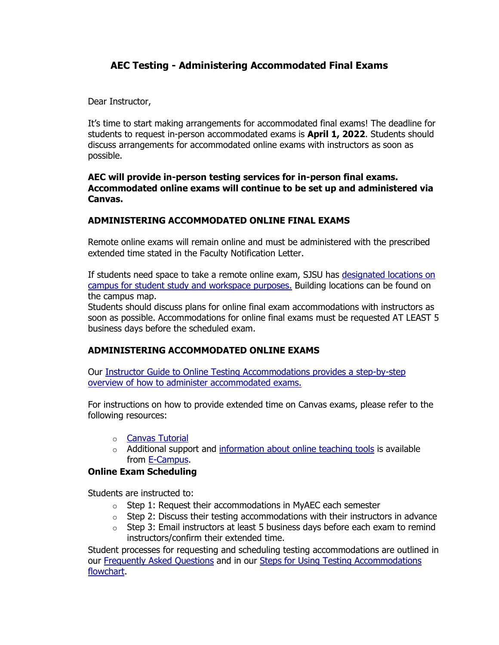# **AEC Testing - Administering Accommodated Final Exams**

Dear Instructor,

It's time to start making arrangements for accommodated final exams! The deadline for students to request in-person accommodated exams is **April 1, 2022**. Students should discuss arrangements for accommodated online exams with instructors as soon as possible.

### **AEC will provide in-person testing services for in-person final exams. Accommodated online exams will continue to be set up and administered via Canvas.**

## **ADMINISTERING ACCOMMODATED ONLINE FINAL EXAMS**

Remote online exams will remain online and must be administered with the prescribed extended time stated in the Faculty Notification Letter.

If students need space to take a remote online exam, SJSU has [designated locations on](https://www.sjsu.edu/learnanywhere/campus-resources/study-resources.php)  [campus for student study and workspace purposes.](https://www.sjsu.edu/learnanywhere/campus-resources/study-resources.php) Building locations can be found on the campus map.

Students should discuss plans for online final exam accommodations with instructors as soon as possible. Accommodations for online final exams must be requested AT LEAST 5 business days before the scheduled exam.

## **ADMINISTERING ACCOMMODATED ONLINE EXAMS**

Our [Instructor Guide to Online Testing Accommodations provides a step-by-step](https://www.sjsu.edu/aec/docs/Instructor%20Guide%20to%20Online%20Testing%20Accommodations%20Flowchart.pdf)  [overview of how to administer accommodated exams.](https://www.sjsu.edu/aec/docs/Instructor%20Guide%20to%20Online%20Testing%20Accommodations%20Flowchart.pdf)

For instructions on how to provide extended time on Canvas exams, please refer to the following resources:

- o [Canvas Tutorial](https://guides.instructure.com/m/4152/l/276279-once-i-publish-a-timed-quiz-how-can-i-give-my-students-extra-time)
- $\circ$  Additional support and [information about online teaching tools](https://www.sjsu.edu/ecampus/software-tools/teaching-tools/index.php) is available from [E-Campus.](https://www.sjsu.edu/ecampus/)

### **Online Exam Scheduling**

Students are instructed to:

- o Step 1: Request their accommodations in MyAEC each semester
- $\circ$  Step 2: Discuss their testing accommodations with their instructors in advance
- $\circ$  Step 3: Email instructors at least 5 business days before each exam to remind instructors/confirm their extended time.

Student processes for requesting and scheduling testing accommodations are outlined in our [Frequently Asked Questions](https://www.sjsu.edu/aec/about/faq/current-students.php#currentstdtestaccoms) and in our [Steps for Using Testing Accommodations](https://www.sjsu.edu/aec/docs/Steps%20for%20Using%20Testing%20Accommodations%20AEC%20Flowchart%20Spring%202022.pdf)  [flowchart.](https://www.sjsu.edu/aec/docs/Steps%20for%20Using%20Testing%20Accommodations%20AEC%20Flowchart%20Spring%202022.pdf)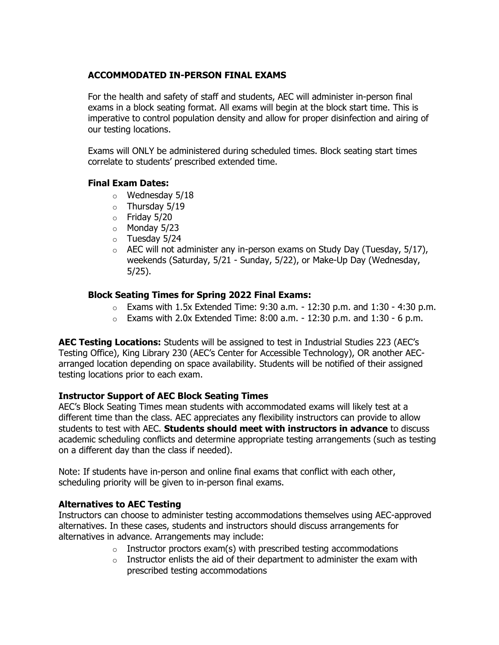## **ACCOMMODATED IN-PERSON FINAL EXAMS**

For the health and safety of staff and students, AEC will administer in-person final exams in a block seating format. All exams will begin at the block start time. This is imperative to control population density and allow for proper disinfection and airing of our testing locations.

Exams will ONLY be administered during scheduled times. Block seating start times correlate to students' prescribed extended time.

## **Final Exam Dates:**

- $\circ$  Wednesday 5/18
- o Thursday 5/19
- $\circ$  Friday 5/20
- o Monday 5/23
- o Tuesday 5/24
- $\circ$  AEC will not administer any in-person exams on Study Day (Tuesday, 5/17), weekends (Saturday, 5/21 - Sunday, 5/22), or Make-Up Day (Wednesday, 5/25).

### **Block Seating Times for Spring 2022 Final Exams:**

- $\circ$  Exams with 1.5x Extended Time: 9:30 a.m. 12:30 p.m. and 1:30 4:30 p.m.
- $\circ$  Exams with 2.0x Extended Time: 8:00 a.m. 12:30 p.m. and 1:30 6 p.m.

**AEC Testing Locations:** Students will be assigned to test in Industrial Studies 223 (AEC's Testing Office), King Library 230 (AEC's Center for Accessible Technology), OR another AECarranged location depending on space availability. Students will be notified of their assigned testing locations prior to each exam.

## **Instructor Support of AEC Block Seating Times**

AEC's Block Seating Times mean students with accommodated exams will likely test at a different time than the class. AEC appreciates any flexibility instructors can provide to allow students to test with AEC. **Students should meet with instructors in advance** to discuss academic scheduling conflicts and determine appropriate testing arrangements (such as testing on a different day than the class if needed).

Note: If students have in-person and online final exams that conflict with each other, scheduling priority will be given to in-person final exams.

### **Alternatives to AEC Testing**

Instructors can choose to administer testing accommodations themselves using AEC-approved alternatives. In these cases, students and instructors should discuss arrangements for alternatives in advance. Arrangements may include:

- $\circ$  Instructor proctors exam(s) with prescribed testing accommodations
- $\circ$  Instructor enlists the aid of their department to administer the exam with prescribed testing accommodations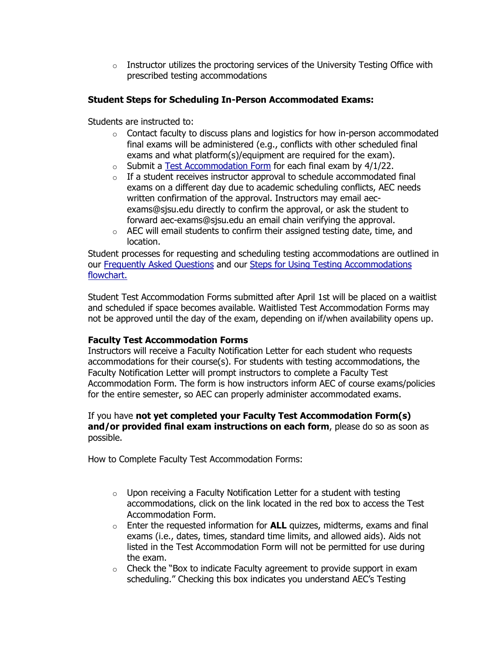$\circ$  Instructor utilizes the proctoring services of the University Testing Office with prescribed testing accommodations

## **Student Steps for Scheduling In-Person Accommodated Exams:**

Students are instructed to:

- $\circ$  Contact faculty to discuss plans and logistics for how in-person accommodated final exams will be administered (e.g., conflicts with other scheduled final exams and what platform(s)/equipment are required for the exam).
- $\circ$  Submit a [Test Accommodation Form](https://www.youtube.com/watch?v=LBgxUpAbOw4&t=97s) for each final exam by 4/1/22.
- $\circ$  If a student receives instructor approval to schedule accommodated final exams on a different day due to academic scheduling conflicts, AEC needs written confirmation of the approval. Instructors may email aecexams@sjsu.edu directly to confirm the approval, or ask the student to forward aec-exams@sjsu.edu an email chain verifying the approval.
- o AEC will email students to confirm their assigned testing date, time, and location.

Student processes for requesting and scheduling testing accommodations are outlined in our [Frequently Asked Questions](https://www.sjsu.edu/aec/about/faq/current-students.php#currentstdtestaccoms) and our Steps for Using Testing Accommodations [flowchart.](https://hood.accessiblelearning.com/SJSU/staff/https:/www.sjsu.edu/aec/docs/Steps%20for%20Using%20Testing%20Accommodations%20AEC%20Flowchart%20Spring%202022.pdf)

Student Test Accommodation Forms submitted after April 1st will be placed on a waitlist and scheduled if space becomes available. Waitlisted Test Accommodation Forms may not be approved until the day of the exam, depending on if/when availability opens up.

### **Faculty Test Accommodation Forms**

Instructors will receive a Faculty Notification Letter for each student who requests accommodations for their course(s). For students with testing accommodations, the Faculty Notification Letter will prompt instructors to complete a Faculty Test Accommodation Form. The form is how instructors inform AEC of course exams/policies for the entire semester, so AEC can properly administer accommodated exams.

## If you have **not yet completed your Faculty Test Accommodation Form(s) and/or provided final exam instructions on each form**, please do so as soon as possible.

How to Complete Faculty Test Accommodation Forms:

- o Upon receiving a Faculty Notification Letter for a student with testing accommodations, click on the link located in the red box to access the Test Accommodation Form.
- o Enter the requested information for **ALL** quizzes, midterms, exams and final exams (i.e., dates, times, standard time limits, and allowed aids). Aids not listed in the Test Accommodation Form will not be permitted for use during the exam.
- o Check the "Box to indicate Faculty agreement to provide support in exam scheduling." Checking this box indicates you understand AEC's Testing